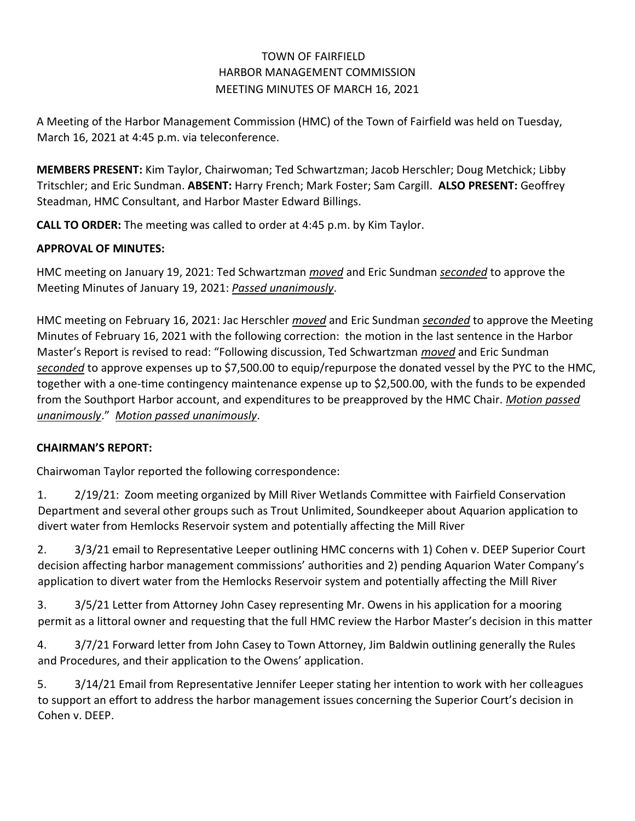# TOWN OF FAIRFIELD HARBOR MANAGEMENT COMMISSION MEETING MINUTES OF MARCH 16, 2021

A Meeting of the Harbor Management Commission (HMC) of the Town of Fairfield was held on Tuesday, March 16, 2021 at 4:45 p.m. via teleconference.

**MEMBERS PRESENT:** Kim Taylor, Chairwoman; Ted Schwartzman; Jacob Herschler; Doug Metchick; Libby Tritschler; and Eric Sundman. **ABSENT:** Harry French; Mark Foster; Sam Cargill. **ALSO PRESENT:** Geoffrey Steadman, HMC Consultant, and Harbor Master Edward Billings.

**CALL TO ORDER:** The meeting was called to order at 4:45 p.m. by Kim Taylor.

## **APPROVAL OF MINUTES:**

HMC meeting on January 19, 2021: Ted Schwartzman *moved* and Eric Sundman *seconded* to approve the Meeting Minutes of January 19, 2021: *Passed unanimously*.

HMC meeting on February 16, 2021: Jac Herschler *moved* and Eric Sundman *seconded* to approve the Meeting Minutes of February 16, 2021 with the following correction: the motion in the last sentence in the Harbor Master's Report is revised to read: "Following discussion, Ted Schwartzman *moved* and Eric Sundman *seconded* to approve expenses up to \$7,500.00 to equip/repurpose the donated vessel by the PYC to the HMC, together with a one-time contingency maintenance expense up to \$2,500.00, with the funds to be expended from the Southport Harbor account, and expenditures to be preapproved by the HMC Chair. *Motion passed unanimously*." *Motion passed unanimously*.

## **CHAIRMAN'S REPORT:**

Chairwoman Taylor reported the following correspondence:

1. 2/19/21: Zoom meeting organized by Mill River Wetlands Committee with Fairfield Conservation Department and several other groups such as Trout Unlimited, Soundkeeper about Aquarion application to divert water from Hemlocks Reservoir system and potentially affecting the Mill River

2. 3/3/21 email to Representative Leeper outlining HMC concerns with 1) Cohen v. DEEP Superior Court decision affecting harbor management commissions' authorities and 2) pending Aquarion Water Company's application to divert water from the Hemlocks Reservoir system and potentially affecting the Mill River

3. 3/5/21 Letter from Attorney John Casey representing Mr. Owens in his application for a mooring permit as a littoral owner and requesting that the full HMC review the Harbor Master's decision in this matter

4. 3/7/21 Forward letter from John Casey to Town Attorney, Jim Baldwin outlining generally the Rules and Procedures, and their application to the Owens' application.

5. 3/14/21 Email from Representative Jennifer Leeper stating her intention to work with her colleagues to support an effort to address the harbor management issues concerning the Superior Court's decision in Cohen v. DEEP.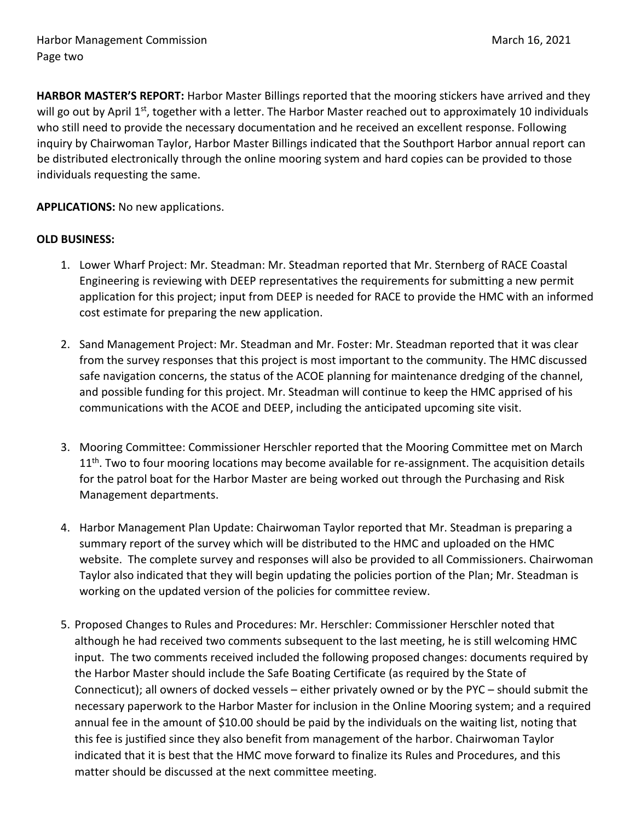**HARBOR MASTER'S REPORT:** Harbor Master Billings reported that the mooring stickers have arrived and they will go out by April 1<sup>st</sup>, together with a letter. The Harbor Master reached out to approximately 10 individuals who still need to provide the necessary documentation and he received an excellent response. Following inquiry by Chairwoman Taylor, Harbor Master Billings indicated that the Southport Harbor annual report can be distributed electronically through the online mooring system and hard copies can be provided to those individuals requesting the same.

### **APPLICATIONS:** No new applications.

### **OLD BUSINESS:**

- 1. Lower Wharf Project: Mr. Steadman: Mr. Steadman reported that Mr. Sternberg of RACE Coastal Engineering is reviewing with DEEP representatives the requirements for submitting a new permit application for this project; input from DEEP is needed for RACE to provide the HMC with an informed cost estimate for preparing the new application.
- 2. Sand Management Project: Mr. Steadman and Mr. Foster: Mr. Steadman reported that it was clear from the survey responses that this project is most important to the community. The HMC discussed safe navigation concerns, the status of the ACOE planning for maintenance dredging of the channel, and possible funding for this project. Mr. Steadman will continue to keep the HMC apprised of his communications with the ACOE and DEEP, including the anticipated upcoming site visit.
- 3. Mooring Committee: Commissioner Herschler reported that the Mooring Committee met on March  $11<sup>th</sup>$ . Two to four mooring locations may become available for re-assignment. The acquisition details for the patrol boat for the Harbor Master are being worked out through the Purchasing and Risk Management departments.
- 4. Harbor Management Plan Update: Chairwoman Taylor reported that Mr. Steadman is preparing a summary report of the survey which will be distributed to the HMC and uploaded on the HMC website. The complete survey and responses will also be provided to all Commissioners. Chairwoman Taylor also indicated that they will begin updating the policies portion of the Plan; Mr. Steadman is working on the updated version of the policies for committee review.
- 5. Proposed Changes to Rules and Procedures: Mr. Herschler: Commissioner Herschler noted that although he had received two comments subsequent to the last meeting, he is still welcoming HMC input. The two comments received included the following proposed changes: documents required by the Harbor Master should include the Safe Boating Certificate (as required by the State of Connecticut); all owners of docked vessels – either privately owned or by the PYC – should submit the necessary paperwork to the Harbor Master for inclusion in the Online Mooring system; and a required annual fee in the amount of \$10.00 should be paid by the individuals on the waiting list, noting that this fee is justified since they also benefit from management of the harbor. Chairwoman Taylor indicated that it is best that the HMC move forward to finalize its Rules and Procedures, and this matter should be discussed at the next committee meeting.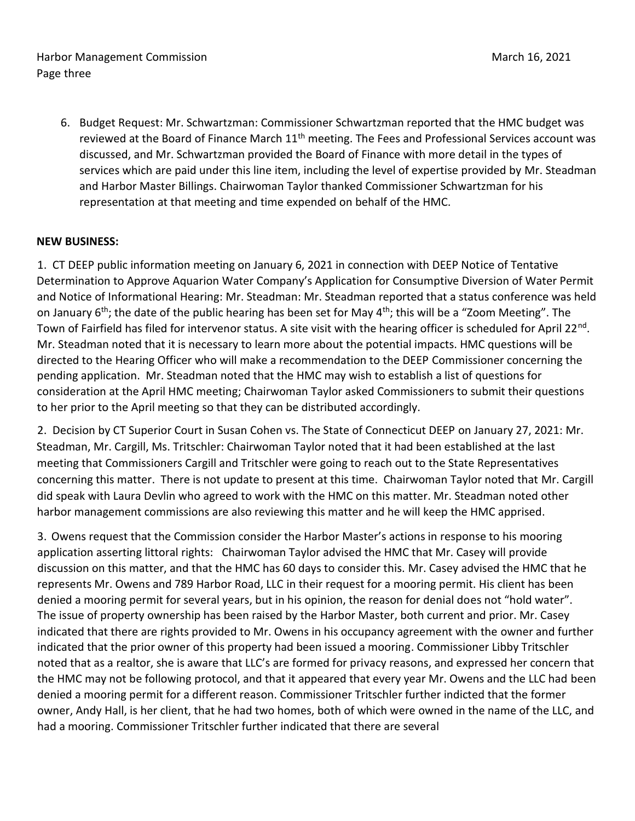Harbor Management Commission **March 16, 2021** March 16, 2021 Page three

6. Budget Request: Mr. Schwartzman: Commissioner Schwartzman reported that the HMC budget was reviewed at the Board of Finance March 11<sup>th</sup> meeting. The Fees and Professional Services account was discussed, and Mr. Schwartzman provided the Board of Finance with more detail in the types of services which are paid under this line item, including the level of expertise provided by Mr. Steadman and Harbor Master Billings. Chairwoman Taylor thanked Commissioner Schwartzman for his representation at that meeting and time expended on behalf of the HMC.

### **NEW BUSINESS:**

1. CT DEEP public information meeting on January 6, 2021 in connection with DEEP Notice of Tentative Determination to Approve Aquarion Water Company's Application for Consumptive Diversion of Water Permit and Notice of Informational Hearing: Mr. Steadman: Mr. Steadman reported that a status conference was held on January  $6<sup>th</sup>$ ; the date of the public hearing has been set for May  $4<sup>th</sup>$ ; this will be a "Zoom Meeting". The Town of Fairfield has filed for intervenor status. A site visit with the hearing officer is scheduled for April 22<sup>nd</sup>. Mr. Steadman noted that it is necessary to learn more about the potential impacts. HMC questions will be directed to the Hearing Officer who will make a recommendation to the DEEP Commissioner concerning the pending application. Mr. Steadman noted that the HMC may wish to establish a list of questions for consideration at the April HMC meeting; Chairwoman Taylor asked Commissioners to submit their questions to her prior to the April meeting so that they can be distributed accordingly.

2. Decision by CT Superior Court in Susan Cohen vs. The State of Connecticut DEEP on January 27, 2021: Mr. Steadman, Mr. Cargill, Ms. Tritschler: Chairwoman Taylor noted that it had been established at the last meeting that Commissioners Cargill and Tritschler were going to reach out to the State Representatives concerning this matter. There is not update to present at this time. Chairwoman Taylor noted that Mr. Cargill did speak with Laura Devlin who agreed to work with the HMC on this matter. Mr. Steadman noted other harbor management commissions are also reviewing this matter and he will keep the HMC apprised.

3. Owens request that the Commission consider the Harbor Master's actions in response to his mooring application asserting littoral rights: Chairwoman Taylor advised the HMC that Mr. Casey will provide discussion on this matter, and that the HMC has 60 days to consider this. Mr. Casey advised the HMC that he represents Mr. Owens and 789 Harbor Road, LLC in their request for a mooring permit. His client has been denied a mooring permit for several years, but in his opinion, the reason for denial does not "hold water". The issue of property ownership has been raised by the Harbor Master, both current and prior. Mr. Casey indicated that there are rights provided to Mr. Owens in his occupancy agreement with the owner and further indicated that the prior owner of this property had been issued a mooring. Commissioner Libby Tritschler noted that as a realtor, she is aware that LLC's are formed for privacy reasons, and expressed her concern that the HMC may not be following protocol, and that it appeared that every year Mr. Owens and the LLC had been denied a mooring permit for a different reason. Commissioner Tritschler further indicted that the former owner, Andy Hall, is her client, that he had two homes, both of which were owned in the name of the LLC, and had a mooring. Commissioner Tritschler further indicated that there are several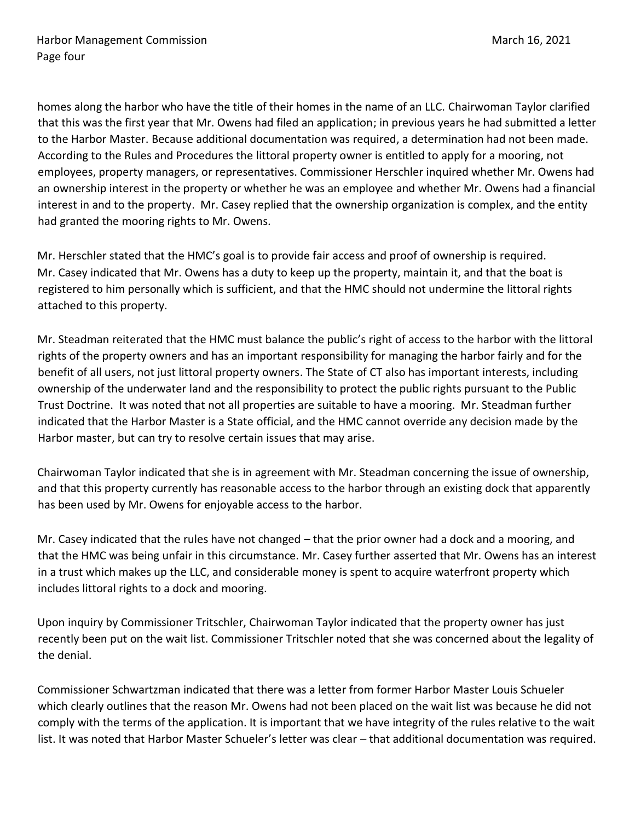homes along the harbor who have the title of their homes in the name of an LLC. Chairwoman Taylor clarified that this was the first year that Mr. Owens had filed an application; in previous years he had submitted a letter to the Harbor Master. Because additional documentation was required, a determination had not been made. According to the Rules and Procedures the littoral property owner is entitled to apply for a mooring, not employees, property managers, or representatives. Commissioner Herschler inquired whether Mr. Owens had an ownership interest in the property or whether he was an employee and whether Mr. Owens had a financial interest in and to the property. Mr. Casey replied that the ownership organization is complex, and the entity had granted the mooring rights to Mr. Owens.

Mr. Herschler stated that the HMC's goal is to provide fair access and proof of ownership is required. Mr. Casey indicated that Mr. Owens has a duty to keep up the property, maintain it, and that the boat is registered to him personally which is sufficient, and that the HMC should not undermine the littoral rights attached to this property.

Mr. Steadman reiterated that the HMC must balance the public's right of access to the harbor with the littoral rights of the property owners and has an important responsibility for managing the harbor fairly and for the benefit of all users, not just littoral property owners. The State of CT also has important interests, including ownership of the underwater land and the responsibility to protect the public rights pursuant to the Public Trust Doctrine. It was noted that not all properties are suitable to have a mooring. Mr. Steadman further indicated that the Harbor Master is a State official, and the HMC cannot override any decision made by the Harbor master, but can try to resolve certain issues that may arise.

Chairwoman Taylor indicated that she is in agreement with Mr. Steadman concerning the issue of ownership, and that this property currently has reasonable access to the harbor through an existing dock that apparently has been used by Mr. Owens for enjoyable access to the harbor.

Mr. Casey indicated that the rules have not changed – that the prior owner had a dock and a mooring, and that the HMC was being unfair in this circumstance. Mr. Casey further asserted that Mr. Owens has an interest in a trust which makes up the LLC, and considerable money is spent to acquire waterfront property which includes littoral rights to a dock and mooring.

Upon inquiry by Commissioner Tritschler, Chairwoman Taylor indicated that the property owner has just recently been put on the wait list. Commissioner Tritschler noted that she was concerned about the legality of the denial.

Commissioner Schwartzman indicated that there was a letter from former Harbor Master Louis Schueler which clearly outlines that the reason Mr. Owens had not been placed on the wait list was because he did not comply with the terms of the application. It is important that we have integrity of the rules relative to the wait list. It was noted that Harbor Master Schueler's letter was clear – that additional documentation was required.